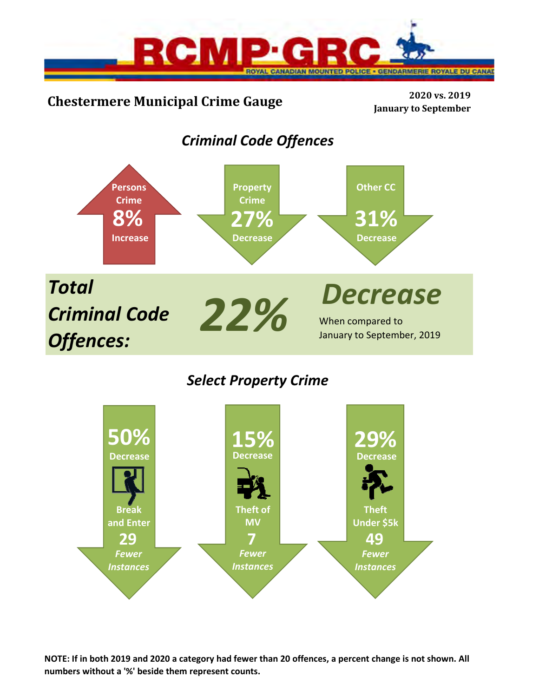

# **Chestermere Municipal Crime Gauge <sup>2020</sup> vs. <sup>2019</sup>**

**January to September**

# *Criminal Code Offences*



## *Select Property Crime*



**NOTE: If in both 2019 and 2020 a category had fewer than 20 offences, a percent change is not shown. All numbers without a '%' beside them represent counts.**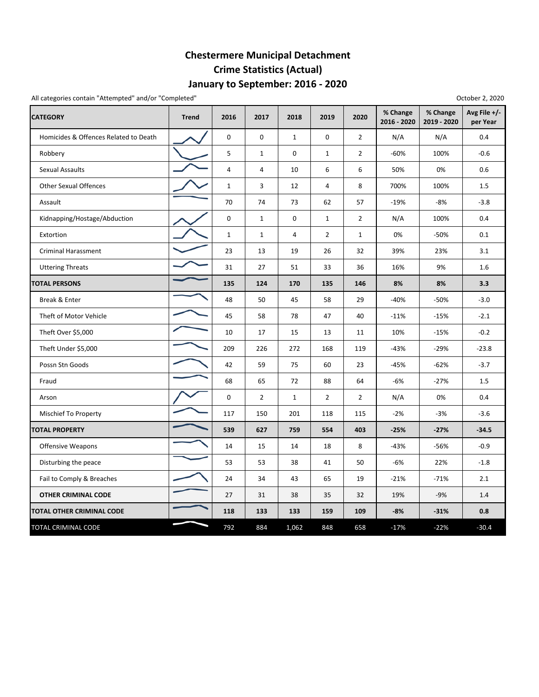## **January to September: 2016 ‐ 2020 Chestermere Municipal Detachment Crime Statistics (Actual)**

All categories contain "Attempted" and/or "Completed"

| October 2, 2020 |  |  |
|-----------------|--|--|
|-----------------|--|--|

| <b>CATEGORY</b>                       | <b>Trend</b> | 2016           | 2017           | 2018           | 2019           | 2020           | % Change<br>2016 - 2020 | % Change<br>2019 - 2020 | Avg File $+/-$<br>per Year |
|---------------------------------------|--------------|----------------|----------------|----------------|----------------|----------------|-------------------------|-------------------------|----------------------------|
| Homicides & Offences Related to Death |              | $\mathbf 0$    | 0              | $\mathbf{1}$   | 0              | $\overline{2}$ | N/A                     | N/A                     | 0.4                        |
| Robbery                               |              | 5              | $\mathbf{1}$   | $\mathbf 0$    | $\mathbf{1}$   | $\overline{2}$ | $-60%$                  | 100%                    | $-0.6$                     |
| Sexual Assaults                       |              | $\overline{4}$ | 4              | 10             | 6              | 6              | 50%                     | 0%                      | 0.6                        |
| <b>Other Sexual Offences</b>          |              | $\mathbf{1}$   | 3              | 12             | 4              | 8              | 700%                    | 100%                    | 1.5                        |
| Assault                               |              | 70             | 74             | 73             | 62             | 57             | $-19%$                  | $-8%$                   | $-3.8$                     |
| Kidnapping/Hostage/Abduction          |              | $\mathbf 0$    | 1              | $\mathbf 0$    | $\mathbf{1}$   | $\overline{2}$ | N/A                     | 100%                    | 0.4                        |
| Extortion                             |              | $\mathbf{1}$   | $\mathbf{1}$   | $\overline{4}$ | $\overline{2}$ | $\mathbf{1}$   | 0%                      | $-50%$                  | 0.1                        |
| Criminal Harassment                   |              | 23             | 13             | 19             | 26             | 32             | 39%                     | 23%                     | 3.1                        |
| <b>Uttering Threats</b>               |              | 31             | 27             | 51             | 33             | 36             | 16%                     | 9%                      | 1.6                        |
| <b>TOTAL PERSONS</b>                  |              | 135            | 124            | 170            | 135            | 146            | 8%                      | 8%                      | 3.3                        |
| Break & Enter                         |              | 48             | 50             | 45             | 58             | 29             | $-40%$                  | $-50%$                  | $-3.0$                     |
| Theft of Motor Vehicle                |              | 45             | 58             | 78             | 47             | 40             | $-11%$                  | $-15%$                  | $-2.1$                     |
| Theft Over \$5,000                    |              | 10             | 17             | 15             | 13             | 11             | 10%                     | $-15%$                  | $-0.2$                     |
| Theft Under \$5,000                   |              | 209            | 226            | 272            | 168            | 119            | $-43%$                  | $-29%$                  | $-23.8$                    |
| Possn Stn Goods                       |              | 42             | 59             | 75             | 60             | 23             | $-45%$                  | $-62%$                  | $-3.7$                     |
| Fraud                                 |              | 68             | 65             | 72             | 88             | 64             | $-6%$                   | $-27%$                  | 1.5                        |
| Arson                                 |              | $\mathbf 0$    | $\overline{2}$ | $1\,$          | $\overline{2}$ | $\overline{2}$ | N/A                     | 0%                      | 0.4                        |
| Mischief To Property                  |              | 117            | 150            | 201            | 118            | 115            | $-2%$                   | $-3%$                   | $-3.6$                     |
| <b>TOTAL PROPERTY</b>                 |              | 539            | 627            | 759            | 554            | 403            | $-25%$                  | $-27%$                  | $-34.5$                    |
| <b>Offensive Weapons</b>              |              | 14             | 15             | 14             | 18             | 8              | $-43%$                  | -56%                    | $-0.9$                     |
| Disturbing the peace                  |              | 53             | 53             | 38             | 41             | 50             | $-6%$                   | 22%                     | $-1.8$                     |
| Fail to Comply & Breaches             |              | 24             | 34             | 43             | 65             | 19             | $-21%$                  | $-71%$                  | 2.1                        |
| <b>OTHER CRIMINAL CODE</b>            |              | 27             | 31             | 38             | 35             | 32             | 19%                     | $-9%$                   | 1.4                        |
| <b>TOTAL OTHER CRIMINAL CODE</b>      |              | 118            | 133            | 133            | 159            | 109            | $-8%$                   | $-31%$                  | 0.8                        |
| TOTAL CRIMINAL CODE                   |              | 792            | 884            | 1,062          | 848            | 658            | $-17%$                  | $-22%$                  | $-30.4$                    |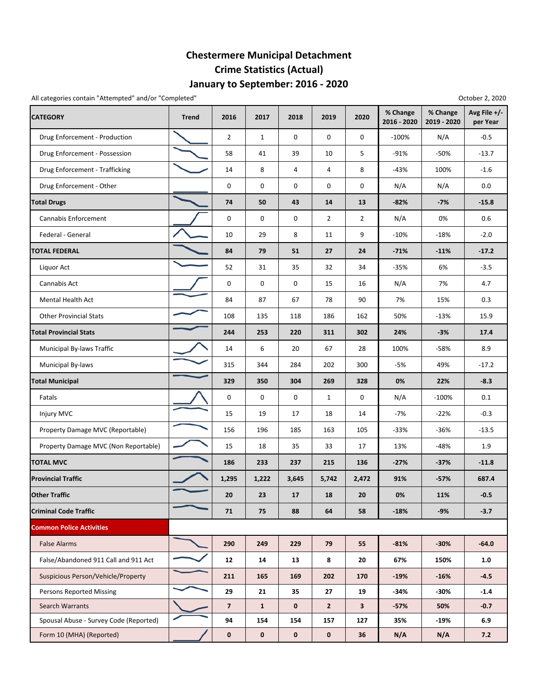## **January to September: 2016 ‐ 2020 Chestermere Municipal Detachment Crime Statistics (Actual)**

All categories contain "Attempted" and/or "Completed"

| <b>CATEGORY</b>                        | <b>Trend</b> | 2016                     | 2017         | 2018        | 2019           | 2020           | % Change<br>2016 - 2020 | % Change<br>2019 - 2020 | Avg File +/-<br>per Year |
|----------------------------------------|--------------|--------------------------|--------------|-------------|----------------|----------------|-------------------------|-------------------------|--------------------------|
| Drug Enforcement - Production          |              | $\overline{2}$           | 1            | 0           | 0              | 0              | $-100%$                 | N/A                     | $-0.5$                   |
| Drug Enforcement - Possession          |              | 58                       | 41           | 39          | 10             | 5              | $-91%$                  | $-50%$                  | $-13.7$                  |
| Drug Enforcement - Trafficking         |              | 14                       | 8            | 4           | 4              | 8              | $-43%$                  | 100%                    | $-1.6$                   |
| Drug Enforcement - Other               |              | 0                        | 0            | 0           | 0              | 0              | N/A                     | N/A                     | 0.0                      |
| <b>Total Drugs</b>                     |              | 74                       | 50           | 43          | 14             | 13             | $-82%$                  | $-7%$                   | $-15.8$                  |
| Cannabis Enforcement                   |              | 0                        | $\mathbf 0$  | 0           | $\overline{2}$ | $\overline{2}$ | N/A                     | 0%                      | 0.6                      |
| Federal - General                      |              | 10                       | 29           | 8           | 11             | 9              | $-10%$                  | $-18%$                  | $-2.0$                   |
| <b>TOTAL FEDERAL</b>                   |              | 84                       | 79           | 51          | 27             | 24             | $-71%$                  | $-11%$                  | $-17.2$                  |
| Liquor Act                             |              | 52                       | 31           | 35          | 32             | 34             | $-35%$                  | 6%                      | $-3.5$                   |
| Cannabis Act                           |              | 0                        | 0            | 0           | 15             | 16             | N/A                     | 7%                      | 4.7                      |
| <b>Mental Health Act</b>               |              | 84                       | 87           | 67          | 78             | 90             | 7%                      | 15%                     | 0.3                      |
| <b>Other Provincial Stats</b>          |              | 108                      | 135          | 118         | 186            | 162            | 50%                     | $-13%$                  | 15.9                     |
| <b>Total Provincial Stats</b>          |              | 244                      | 253          | 220         | 311            | 302            | 24%                     | $-3%$                   | 17.4                     |
| Municipal By-laws Traffic              |              | 14                       | 6            | 20          | 67             | 28             | 100%                    | -58%                    | 8.9                      |
| Municipal By-laws                      |              | 315                      | 344          | 284         | 202            | 300            | $-5%$                   | 49%                     | $-17.2$                  |
| <b>Total Municipal</b>                 |              | 329                      | 350          | 304         | 269            | 328            | 0%                      | 22%                     | $-8.3$                   |
| Fatals                                 |              | 0                        | 0            | 0           | $\mathbf{1}$   | 0              | N/A                     | $-100%$                 | 0.1                      |
| Injury MVC                             |              | 15                       | 19           | 17          | 18             | 14             | $-7%$                   | $-22%$                  | $-0.3$                   |
| Property Damage MVC (Reportable)       |              | 156                      | 196          | 185         | 163            | 105            | $-33%$                  | $-36%$                  | $-13.5$                  |
| Property Damage MVC (Non Reportable)   |              | 15                       | 18           | 35          | 33             | 17             | 13%                     | -48%                    | 1.9                      |
| <b>TOTAL MVC</b>                       |              | 186                      | 233          | 237         | 215            | 136            | $-27%$                  | $-37%$                  | $-11.8$                  |
| <b>Provincial Traffic</b>              |              | 1,295                    | 1,222        | 3,645       | 5,742          | 2,472          | 91%                     | $-57%$                  | 687.4                    |
| <b>Other Traffic</b>                   |              | 20                       | 23           | 17          | 18             | 20             | 0%                      | 11%                     | $-0.5$                   |
| <b>Criminal Code Traffic</b>           |              | 71                       | 75           | 88          | 64             | 58             | $-18%$                  | $-9%$                   | $-3.7$                   |
| <b>Common Police Activities</b>        |              |                          |              |             |                |                |                         |                         |                          |
| <b>False Alarms</b>                    |              | 290                      | 249          | 229         | 79             | 55             | $-81%$                  | $-30%$                  | $-64.0$                  |
| False/Abandoned 911 Call and 911 Act   |              | 12                       | 14           | 13          | 8              | 20             | 67%                     | 150%                    | 1.0                      |
| Suspicious Person/Vehicle/Property     |              | 211                      | 165          | 169         | 202            | 170            | $-19%$                  | $-16%$                  | $-4.5$                   |
| <b>Persons Reported Missing</b>        |              | 29                       | 21           | 35          | 27             | 19             | -34%                    | $-30%$                  | $-1.4$                   |
| <b>Search Warrants</b>                 |              | $\overline{\phantom{a}}$ | $\mathbf{1}$ | $\mathbf 0$ | $\mathbf{2}$   | 3              | $-57%$                  | 50%                     | $-0.7$                   |
| Spousal Abuse - Survey Code (Reported) |              | 94                       | 154          | 154         | 157            | 127            | 35%                     | -19%                    | 6.9                      |
| Form 10 (MHA) (Reported)               |              | 0                        | $\mathbf 0$  | 0           | 0              | 36             | N/A                     | N/A                     | 7.2                      |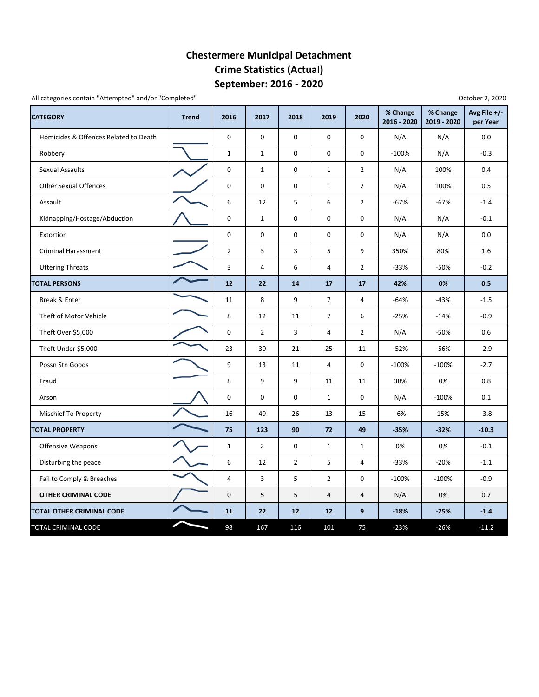## **September: 2016 ‐ 2020 Chestermere Municipal Detachment Crime Statistics (Actual)**

All categories contain "Attempted" and/or "Completed"

| <b>CATEGORY</b>                       | <b>Trend</b> | 2016           | 2017           | 2018           | 2019           | 2020           | % Change<br>2016 - 2020 | % Change<br>2019 - 2020 | Avg File +/-<br>per Year |
|---------------------------------------|--------------|----------------|----------------|----------------|----------------|----------------|-------------------------|-------------------------|--------------------------|
| Homicides & Offences Related to Death |              | 0              | 0              | 0              | $\mathbf 0$    | $\mathbf 0$    | N/A                     | N/A                     | 0.0                      |
| Robbery                               |              | $\mathbf{1}$   | $\mathbf{1}$   | 0              | $\mathbf 0$    | 0              | $-100%$                 | N/A                     | $-0.3$                   |
| <b>Sexual Assaults</b>                |              | 0              | $\mathbf{1}$   | 0              | $\mathbf{1}$   | $\overline{2}$ | N/A                     | 100%                    | 0.4                      |
| <b>Other Sexual Offences</b>          |              | 0              | 0              | 0              | $\mathbf{1}$   | $\overline{2}$ | N/A                     | 100%                    | 0.5                      |
| Assault                               |              | 6              | 12             | 5              | 6              | $\overline{2}$ | $-67%$                  | $-67%$                  | $-1.4$                   |
| Kidnapping/Hostage/Abduction          |              | 0              | $\mathbf{1}$   | 0              | $\mathbf 0$    | 0              | N/A                     | N/A                     | $-0.1$                   |
| Extortion                             |              | $\mathbf 0$    | 0              | 0              | $\mathbf 0$    | 0              | N/A                     | N/A                     | 0.0                      |
| <b>Criminal Harassment</b>            |              | $\overline{2}$ | 3              | 3              | 5              | 9              | 350%                    | 80%                     | 1.6                      |
| <b>Uttering Threats</b>               |              | $\mathsf 3$    | 4              | 6              | 4              | $\overline{2}$ | $-33%$                  | $-50%$                  | $-0.2$                   |
| <b>TOTAL PERSONS</b>                  |              | 12             | 22             | 14             | 17             | 17             | 42%                     | 0%                      | 0.5                      |
| Break & Enter                         |              | 11             | 8              | 9              | $\overline{7}$ | $\overline{4}$ | $-64%$                  | $-43%$                  | $-1.5$                   |
| Theft of Motor Vehicle                |              | 8              | 12             | 11             | $\overline{7}$ | 6              | $-25%$                  | $-14%$                  | $-0.9$                   |
| Theft Over \$5,000                    |              | 0              | $\overline{2}$ | 3              | 4              | $\overline{2}$ | N/A                     | $-50%$                  | 0.6                      |
| Theft Under \$5,000                   |              | 23             | 30             | 21             | 25             | 11             | $-52%$                  | -56%                    | $-2.9$                   |
| Possn Stn Goods                       |              | 9              | 13             | 11             | $\overline{4}$ | $\mathbf 0$    | $-100%$                 | $-100%$                 | $-2.7$                   |
| Fraud                                 |              | 8              | 9              | 9              | 11             | 11             | 38%                     | 0%                      | 0.8                      |
| Arson                                 |              | 0              | $\mathbf 0$    | 0              | $\mathbf{1}$   | $\mathbf 0$    | N/A                     | $-100%$                 | 0.1                      |
| Mischief To Property                  |              | 16             | 49             | 26             | 13             | 15             | $-6%$                   | 15%                     | $-3.8$                   |
| <b>TOTAL PROPERTY</b>                 |              | 75             | 123            | 90             | 72             | 49             | $-35%$                  | $-32%$                  | $-10.3$                  |
| <b>Offensive Weapons</b>              |              | $\mathbf{1}$   | $\overline{2}$ | 0              | $\mathbf{1}$   | $\mathbf{1}$   | 0%                      | 0%                      | $-0.1$                   |
| Disturbing the peace                  |              | 6              | 12             | $\overline{2}$ | 5              | 4              | $-33%$                  | $-20%$                  | $-1.1$                   |
| Fail to Comply & Breaches             |              | $\overline{4}$ | 3              | 5              | $\overline{2}$ | 0              | $-100%$                 | $-100%$                 | $-0.9$                   |
| <b>OTHER CRIMINAL CODE</b>            |              | $\mathbf 0$    | 5              | 5              | 4              | 4              | N/A                     | 0%                      | 0.7                      |
| TOTAL OTHER CRIMINAL CODE             |              | 11             | 22             | 12             | 12             | 9              | $-18%$                  | $-25%$                  | $-1.4$                   |
| TOTAL CRIMINAL CODE                   |              | 98             | 167            | 116            | 101            | 75             | $-23%$                  | $-26%$                  | $-11.2$                  |

October 2, 2020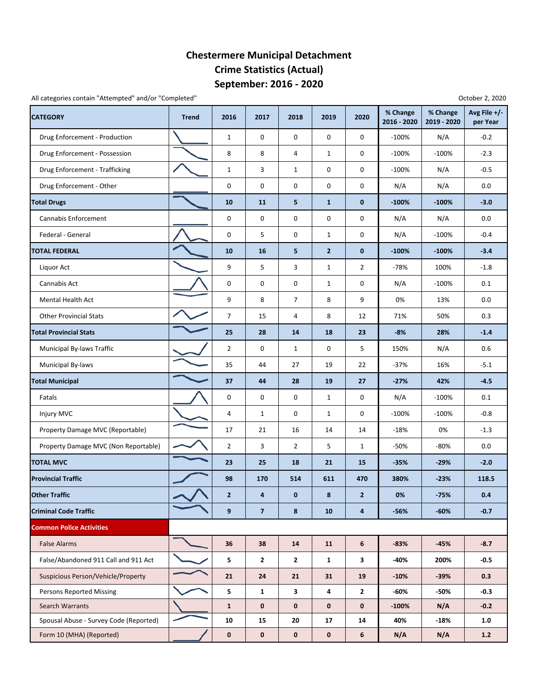#### **September: 2016 ‐ 2020 Chestermere Municipal Detachment Crime Statistics (Actual)**

All categories contain "Attempted" and/or "Completed" **All categories** contain "Attempted" and/or "Completed" **October 2**, 2020

| <b>CATEGORY</b>                        | <b>Trend</b> | 2016           | 2017           | 2018           | 2019           | 2020           | % Change<br>2016 - 2020 | % Change<br>2019 - 2020 | Avg File +/-<br>per Year |
|----------------------------------------|--------------|----------------|----------------|----------------|----------------|----------------|-------------------------|-------------------------|--------------------------|
| Drug Enforcement - Production          |              | $\mathbf{1}$   | 0              | 0              | 0              | 0              | $-100%$                 | N/A                     | $-0.2$                   |
| Drug Enforcement - Possession          |              | 8              | 8              | $\overline{4}$ | $\mathbf{1}$   | 0              | $-100%$                 | $-100%$                 | $-2.3$                   |
| Drug Enforcement - Trafficking         |              | $\mathbf{1}$   | 3              | $\mathbf{1}$   | 0              | 0              | $-100%$                 | N/A                     | $-0.5$                   |
| Drug Enforcement - Other               |              | 0              | 0              | $\pmb{0}$      | 0              | 0              | N/A                     | N/A                     | 0.0                      |
| <b>Total Drugs</b>                     |              | 10             | 11             | 5              | $\mathbf{1}$   | $\bf{0}$       | $-100%$                 | $-100%$                 | $-3.0$                   |
| Cannabis Enforcement                   |              | 0              | 0              | $\pmb{0}$      | 0              | 0              | N/A                     | N/A                     | 0.0                      |
| Federal - General                      |              | 0              | 5              | 0              | $\mathbf{1}$   | 0              | N/A                     | $-100%$                 | $-0.4$                   |
| <b>TOTAL FEDERAL</b>                   |              | 10             | 16             | 5              | $\overline{2}$ | $\bf{0}$       | $-100%$                 | $-100%$                 | $-3.4$                   |
| Liquor Act                             |              | 9              | 5              | 3              | $\mathbf{1}$   | $\overline{2}$ | -78%                    | 100%                    | $-1.8$                   |
| Cannabis Act                           |              | 0              | 0              | 0              | $\mathbf{1}$   | 0              | N/A                     | $-100%$                 | 0.1                      |
| Mental Health Act                      |              | 9              | 8              | 7              | 8              | 9              | 0%                      | 13%                     | 0.0                      |
| <b>Other Provincial Stats</b>          |              | $\overline{7}$ | 15             | 4              | 8              | 12             | 71%                     | 50%                     | 0.3                      |
| <b>Total Provincial Stats</b>          |              | 25             | 28             | 14             | 18             | 23             | $-8%$                   | 28%                     | $-1.4$                   |
| Municipal By-laws Traffic              |              | $\overline{2}$ | 0              | $\mathbf{1}$   | 0              | 5              | 150%                    | N/A                     | 0.6                      |
| Municipal By-laws                      |              | 35             | 44             | 27             | 19             | 22             | $-37%$                  | 16%                     | $-5.1$                   |
| <b>Total Municipal</b>                 |              | 37             | 44             | 28             | 19             | 27             | $-27%$                  | 42%                     | $-4.5$                   |
| Fatals                                 |              | 0              | 0              | 0              | $\mathbf{1}$   | 0              | N/A                     | $-100%$                 | 0.1                      |
| Injury MVC                             |              | 4              | 1              | 0              | $\mathbf{1}$   | 0              | $-100%$                 | $-100%$                 | $-0.8$                   |
| Property Damage MVC (Reportable)       |              | 17             | 21             | 16             | 14             | 14             | $-18%$                  | 0%                      | $-1.3$                   |
| Property Damage MVC (Non Reportable)   |              | $\overline{2}$ | 3              | $\overline{2}$ | 5              | $\mathbf{1}$   | -50%                    | -80%                    | 0.0                      |
| <b>TOTAL MVC</b>                       |              | 23             | 25             | 18             | 21             | 15             | $-35%$                  | $-29%$                  | $-2.0$                   |
| <b>Provincial Traffic</b>              |              | 98             | 170            | 514            | 611            | 470            | 380%                    | $-23%$                  | 118.5                    |
| <b>Other Traffic</b>                   |              | 2              | 4              | $\bf{0}$       | 8              | 2              | 0%                      | $-75%$                  | 0.4                      |
| <b>Criminal Code Traffic</b>           |              | 9              | $\overline{7}$ | 8              | 10             | 4              | $-56%$                  | $-60%$                  | $-0.7$                   |
| <b>Common Police Activities</b>        |              |                |                |                |                |                |                         |                         |                          |
| <b>False Alarms</b>                    |              | 36             | 38             | 14             | 11             | 6              | $-83%$                  | $-45%$                  | $-8.7$                   |
| False/Abandoned 911 Call and 911 Act   |              | 5              | $\overline{2}$ | $\mathbf{2}$   | $\mathbf{1}$   | 3              | -40%                    | 200%                    | $-0.5$                   |
| Suspicious Person/Vehicle/Property     |              | 21             | 24             | 21             | 31             | 19             | $-10%$                  | $-39%$                  | 0.3                      |
| <b>Persons Reported Missing</b>        |              | 5              | $\mathbf{1}$   | $\mathbf{3}$   | 4              | $\mathbf{2}$   | -60%                    | -50%                    | $-0.3$                   |
| Search Warrants                        |              | $\mathbf{1}$   | $\mathbf 0$    | $\bf{0}$       | $\mathbf 0$    | 0              | $-100%$                 | N/A                     | $-0.2$                   |
| Spousal Abuse - Survey Code (Reported) |              | 10             | 15             | 20             | 17             | 14             | 40%                     | $-18%$                  | 1.0                      |
| Form 10 (MHA) (Reported)               |              | $\mathbf 0$    | $\mathbf 0$    | $\mathbf 0$    | $\mathbf 0$    | 6              | N/A                     | N/A                     | $1.2$                    |